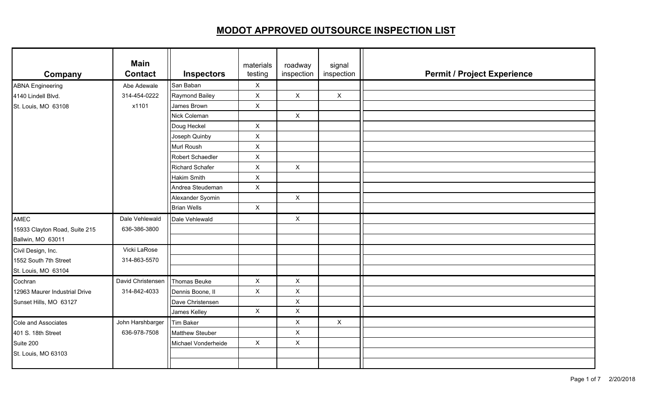| Company                       | <b>Main</b><br><b>Contact</b> | <b>Inspectors</b>      | materials<br>testing      | roadway<br>inspection | signal<br>inspection |  |
|-------------------------------|-------------------------------|------------------------|---------------------------|-----------------------|----------------------|--|
| <b>ABNA Engineering</b>       | Abe Adewale                   | San Baban              | X                         |                       |                      |  |
| 4140 Lindell Blvd.            | 314-454-0222                  | Raymond Bailey         | X                         | $\mathsf X$           | $\mathsf{X}$         |  |
| St. Louis, MO 63108           | x1101                         | James Brown            | $\mathsf{X}$              |                       |                      |  |
|                               |                               | Nick Coleman           |                           | $\mathsf X$           |                      |  |
|                               |                               | Doug Heckel            | $\mathsf{X}$              |                       |                      |  |
|                               |                               | Joseph Quinby          | $\boldsymbol{\mathsf{X}}$ |                       |                      |  |
|                               |                               | Murl Roush             | $\boldsymbol{\mathsf{X}}$ |                       |                      |  |
|                               |                               | Robert Schaedler       | $\pmb{\times}$            |                       |                      |  |
|                               |                               | <b>Richard Schafer</b> | $\pmb{\times}$            | $\mathsf{X}$          |                      |  |
|                               |                               | Hakim Smith            | X                         |                       |                      |  |
|                               |                               | Andrea Steudeman       | $\pmb{\times}$            |                       |                      |  |
|                               |                               | Alexander Syomin       |                           | $\mathsf X$           |                      |  |
|                               |                               | <b>Brian Wells</b>     | $\mathsf{X}$              |                       |                      |  |
| <b>AMEC</b>                   | Dale Vehlewald                | Dale Vehlewald         |                           | X                     |                      |  |
| 15933 Clayton Road, Suite 215 | 636-386-3800                  |                        |                           |                       |                      |  |
| Ballwin, MO 63011             |                               |                        |                           |                       |                      |  |
| Civil Design, Inc.            | Vicki LaRose                  |                        |                           |                       |                      |  |
| 1552 South 7th Street         | 314-863-5570                  |                        |                           |                       |                      |  |
| St. Louis, MO 63104           |                               |                        |                           |                       |                      |  |
| Cochran                       | David Christensen             | Thomas Beuke           | X                         | X                     |                      |  |
| 12963 Maurer Industrial Drive | 314-842-4033                  | Dennis Boone, II       | X                         | $\mathsf X$           |                      |  |
| Sunset Hills, MO 63127        |                               | Dave Christensen       |                           | $\pmb{\times}$        |                      |  |
|                               |                               | James Kelley           | $\mathsf{X}$              | $\mathsf X$           |                      |  |
| Cole and Associates           | John Harshbarger              | <b>Tim Baker</b>       |                           | X                     | $\mathsf{X}$         |  |
| 401 S. 18th Street            | 636-978-7508                  | <b>Matthew Steuber</b> |                           | $\mathsf X$           |                      |  |
| Suite 200                     |                               | Michael Vonderheide    | $\mathsf{X}$              | $\mathsf X$           |                      |  |
| St. Louis, MO 63103           |                               |                        |                           |                       |                      |  |
|                               |                               |                        |                           |                       |                      |  |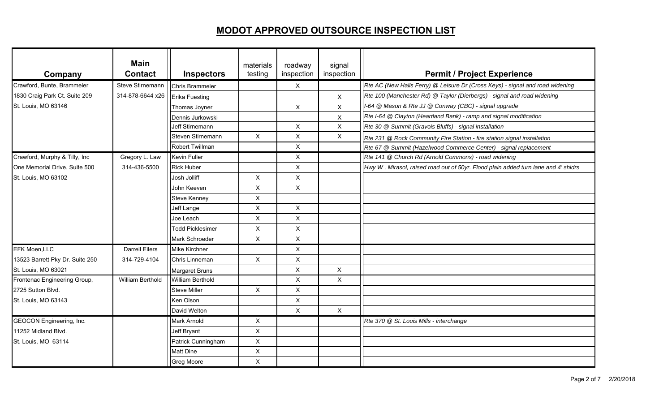| Company                         | <b>Main</b><br><b>Contact</b> | <b>Inspectors</b>       | materials<br>testing | roadway<br>inspection | signal<br>inspection | <b>Permit / Project Experience</b>                                                 |
|---------------------------------|-------------------------------|-------------------------|----------------------|-----------------------|----------------------|------------------------------------------------------------------------------------|
| Crawford, Bunte, Brammeier      | Steve Stirnemann              | <b>Chris Brammeier</b>  |                      | $\mathsf{X}$          |                      | Rte AC (New Halls Ferry) @ Leisure Dr (Cross Keys) - signal and road widening      |
| 1830 Craig Park Ct. Suite 209   | 314-878-6644 x26              | Erika Fuesting          |                      |                       | $\mathsf{X}$         | Rte 100 (Manchester Rd) @ Taylor (Dierbergs) - signal and road widening            |
| St. Louis, MO 63146             |                               | Thomas Joyner           |                      | X                     | X                    | I-64 @ Mason & Rte JJ @ Conway (CBC) - signal upgrade                              |
|                                 |                               | Dennis Jurkowski        |                      |                       | X                    | Rte I-64 @ Clayton (Heartland Bank) - ramp and signal modification                 |
|                                 |                               | <b>Jeff Stirnemann</b>  |                      | $\mathsf{X}$          | $\mathsf{X}$         | Rte 30 @ Summit (Gravois Bluffs) - signal installation                             |
|                                 |                               | Steven Stirnemann       | $\mathsf{X}$         | X                     | $\mathsf{X}$         | Rte 231 @ Rock Community Fire Station - fire station signal installation           |
|                                 |                               | Robert Twillman         |                      | X                     |                      | Rte 67 @ Summit (Hazelwood Commerce Center) - signal replacement                   |
| Crawford, Murphy & Tilly, Inc   | Gregory L. Law                | <b>Kevin Fuller</b>     |                      | X                     |                      | Rte 141 @ Church Rd (Arnold Commons) - road widening                               |
| One Memorial Drive, Suite 500   | 314-436-5500                  | <b>Rick Huber</b>       |                      | X                     |                      | Hwy W, Mirasol, raised road out of 50yr. Flood plain added turn lane and 4' shidrs |
| St. Louis, MO 63102             |                               | Josh Jolliff            | X                    | X                     |                      |                                                                                    |
|                                 |                               | John Keeven             | $\mathsf X$          | $\mathsf{X}$          |                      |                                                                                    |
|                                 |                               | <b>Steve Kenney</b>     | $\pmb{\times}$       |                       |                      |                                                                                    |
|                                 |                               | Jeff Lange              | $\mathsf X$          | $\pmb{\times}$        |                      |                                                                                    |
|                                 |                               | Joe Leach               | $\mathsf X$          | X                     |                      |                                                                                    |
|                                 |                               | <b>Todd Picklesimer</b> | $\pmb{\times}$       | X                     |                      |                                                                                    |
|                                 |                               | Mark Schroeder          | $\mathsf X$          | X                     |                      |                                                                                    |
| <b>EFK Moen, LLC</b>            | <b>Darrell Eilers</b>         | Mike Kirchner           |                      | X                     |                      |                                                                                    |
| 13523 Barrett Pky Dr. Suite 250 | 314-729-4104                  | Chris Linneman          | $\mathsf{X}$         | X                     |                      |                                                                                    |
| St. Louis, MO 63021             |                               | <b>Margaret Bruns</b>   |                      | X                     | X                    |                                                                                    |
| Frontenac Engineering Group,    | <b>William Berthold</b>       | <b>William Berthold</b> |                      | X                     | X                    |                                                                                    |
| 2725 Sutton Blvd.               |                               | <b>Steve Miller</b>     | $\pmb{\times}$       | X                     |                      |                                                                                    |
| St. Louis, MO 63143             |                               | Ken Olson               |                      | X                     |                      |                                                                                    |
|                                 |                               | David Welton            |                      | X                     | $\mathsf{X}$         |                                                                                    |
| <b>GEOCON Engineering, Inc.</b> |                               | <b>Mark Arnold</b>      | X                    |                       |                      | Rte 370 @ St. Louis Mills - interchange                                            |
| 11252 Midland Blvd.             |                               | Jeff Bryant             | $\mathsf X$          |                       |                      |                                                                                    |
| St. Louis, MO 63114             |                               | Patrick Cunningham      | $\mathsf X$          |                       |                      |                                                                                    |
|                                 |                               | <b>Matt Dine</b>        | $\mathsf X$          |                       |                      |                                                                                    |
|                                 |                               | <b>Greg Moore</b>       | $\mathsf{X}$         |                       |                      |                                                                                    |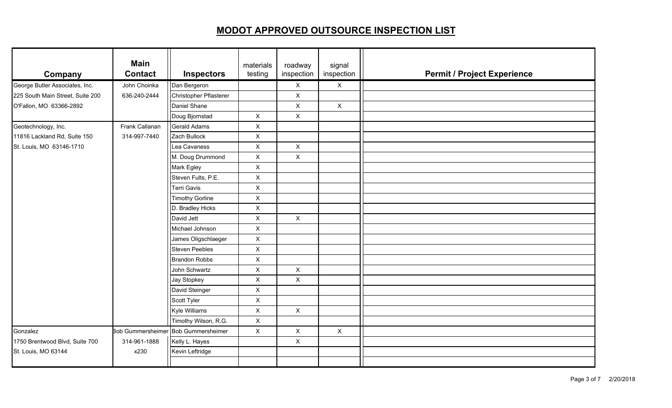| Company                          | <b>Main</b><br><b>Contact</b> | <b>Inspectors</b>                   | materials<br>testing | roadway<br>inspection | signal<br>inspection | <b>Permit / Project Experience</b> |
|----------------------------------|-------------------------------|-------------------------------------|----------------------|-----------------------|----------------------|------------------------------------|
| George Butler Associates, Inc.   | John Choinka                  | Dan Bergeron                        |                      | $\mathsf X$           | $\mathsf{X}$         |                                    |
| 225 South Main Street, Suite 200 | 636-240-2444                  | Christopher Pflasterer              |                      | $\mathsf{X}$          |                      |                                    |
| O'Fallon, MO 63366-2892          |                               | Daniel Shane                        |                      | X                     | $\mathsf{X}$         |                                    |
|                                  |                               | Doug Bjornstad                      | $\mathsf{X}$         | $\mathsf X$           |                      |                                    |
| Geotechnology, Inc.              | Frank Callanan                | Gerald Adams                        | $\mathsf X$          |                       |                      |                                    |
| 11816 Lackland Rd, Suite 150     | 314-997-7440                  | Zach Bullock                        | $\pmb{\times}$       |                       |                      |                                    |
| St. Louis, MO 63146-1710         |                               | Lea Cavaness                        | X                    | X                     |                      |                                    |
|                                  |                               | M. Doug Drummond                    | $\mathsf{X}$         | $\pmb{\times}$        |                      |                                    |
|                                  |                               | Mark Egley                          | $\mathsf X$          |                       |                      |                                    |
|                                  |                               | Steven Fults, P.E.                  | $\mathsf{X}$         |                       |                      |                                    |
|                                  |                               | <b>Terri Gavis</b>                  | X                    |                       |                      |                                    |
|                                  |                               | <b>Timothy Gorline</b>              | $\mathsf{X}$         |                       |                      |                                    |
|                                  |                               | D. Bradley Hicks                    | $\mathsf X$          |                       |                      |                                    |
|                                  |                               | David Jett                          | $\mathsf X$          | X                     |                      |                                    |
|                                  |                               | Michael Johnson                     | X                    |                       |                      |                                    |
|                                  |                               | James Oligschlaeger                 | $\mathsf X$          |                       |                      |                                    |
|                                  |                               | <b>Steven Peebles</b>               | $\mathsf{X}$         |                       |                      |                                    |
|                                  |                               | <b>Brandon Robbs</b>                | $\mathsf{X}$         |                       |                      |                                    |
|                                  |                               | John Schwartz                       | X                    | X                     |                      |                                    |
|                                  |                               | <b>Jay Stopkey</b>                  | $\mathsf X$          | X                     |                      |                                    |
|                                  |                               | David Steinger                      | $\mathsf{X}$         |                       |                      |                                    |
|                                  |                               | Scott Tyler                         | X                    |                       |                      |                                    |
|                                  |                               | Kyle Williams                       | X                    | $\mathsf{X}$          |                      |                                    |
|                                  |                               | Timothy Wilson, R.G.                | $\mathsf X$          |                       |                      |                                    |
| Gonzalez                         |                               | Bob Gummersheimer Bob Gummersheimer | $\mathsf{X}$         | X                     | $\mathsf{X}$         |                                    |
| 1750 Brentwood Blvd, Suite 700   | 314-961-1888                  | Kelly L. Hayes                      |                      | $\pmb{\times}$        |                      |                                    |
| St. Louis, MO 63144              | x230                          | Kevin Leftridge                     |                      |                       |                      |                                    |
|                                  |                               |                                     |                      |                       |                      |                                    |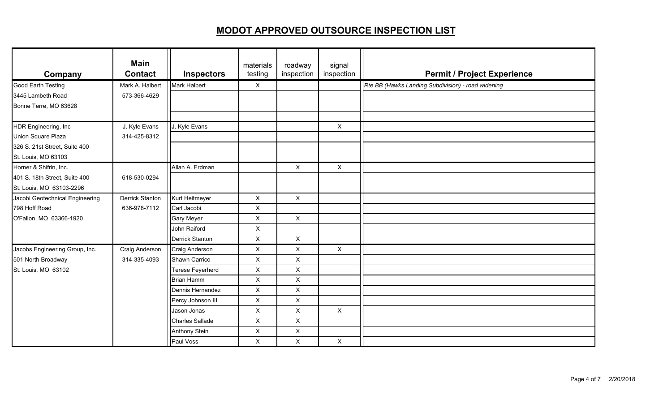| Company                         | <b>Main</b><br><b>Contact</b> | <b>Inspectors</b>      | materials<br>testing | roadway<br>inspection | signal<br>inspection | <b>Permit / Project Experience</b>                 |
|---------------------------------|-------------------------------|------------------------|----------------------|-----------------------|----------------------|----------------------------------------------------|
| <b>Good Earth Testing</b>       | Mark A. Halbert               | Mark Halbert           | $\mathsf{X}$         |                       |                      | Rte BB (Hawks Landing Subdivision) - road widening |
| 3445 Lambeth Road               | 573-366-4629                  |                        |                      |                       |                      |                                                    |
| Bonne Terre, MO 63628           |                               |                        |                      |                       |                      |                                                    |
|                                 |                               |                        |                      |                       |                      |                                                    |
| HDR Engineering, Inc            | J. Kyle Evans                 | J. Kyle Evans          |                      |                       | $\mathsf{X}$         |                                                    |
| Union Square Plaza              | 314-425-8312                  |                        |                      |                       |                      |                                                    |
| 326 S. 21st Street, Suite 400   |                               |                        |                      |                       |                      |                                                    |
| St. Louis, MO 63103             |                               |                        |                      |                       |                      |                                                    |
| Horner & Shifrin, Inc.          |                               | Allan A. Erdman        |                      | $\mathsf{X}$          | $\mathsf{X}$         |                                                    |
| 401 S. 18th Street, Suite 400   | 618-530-0294                  |                        |                      |                       |                      |                                                    |
| St. Louis, MO 63103-2296        |                               |                        |                      |                       |                      |                                                    |
| Jacobi Geotechnical Engineering | <b>Derrick Stanton</b>        | Kurt Heitmeyer         | X                    | $\mathsf{X}$          |                      |                                                    |
| 798 Hoff Road                   | 636-978-7112                  | Carl Jacobi            | X                    |                       |                      |                                                    |
| O'Fallon, MO 63366-1920         |                               | <b>Gary Meyer</b>      | $\pmb{\times}$       | X                     |                      |                                                    |
|                                 |                               | John Raiford           | $\pmb{\times}$       |                       |                      |                                                    |
|                                 |                               | <b>Derrick Stanton</b> | $\pmb{\times}$       | X                     |                      |                                                    |
| Jacobs Engineering Group, Inc.  | Craig Anderson                | Craig Anderson         | X                    | X                     | $\mathsf{X}$         |                                                    |
| 501 North Broadway              | 314-335-4093                  | Shawn Carrico          | X                    | $\sf X$               |                      |                                                    |
| St. Louis, MO 63102             |                               | Terese Feyerherd       | X                    | X                     |                      |                                                    |
|                                 |                               | <b>Brian Hamm</b>      | X                    | X                     |                      |                                                    |
|                                 |                               | Dennis Hernandez       | X                    | X                     |                      |                                                    |
|                                 |                               | Percy Johnson III      | X                    | X                     |                      |                                                    |
|                                 |                               | Jason Jonas            | X                    | X                     | $\mathsf{X}$         |                                                    |
|                                 |                               | <b>Charles Sallade</b> | X                    | $\pmb{\times}$        |                      |                                                    |
|                                 |                               | <b>Anthony Stein</b>   | $\pmb{\times}$       | X                     |                      |                                                    |
|                                 |                               | Paul Voss              | X                    | X                     | $\mathsf{X}$         |                                                    |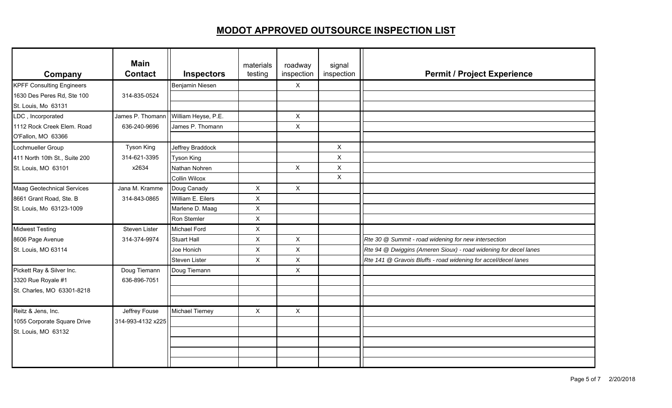| Company                           | <b>Main</b><br><b>Contact</b> | <b>Inspectors</b>      | materials<br>testing | roadway<br>inspection     | signal<br>inspection | <b>Permit / Project Experience</b>                               |
|-----------------------------------|-------------------------------|------------------------|----------------------|---------------------------|----------------------|------------------------------------------------------------------|
| <b>KPFF Consulting Engineers</b>  |                               | Benjamin Niesen        |                      | X                         |                      |                                                                  |
| 1630 Des Peres Rd, Ste 100        | 314-835-0524                  |                        |                      |                           |                      |                                                                  |
| St. Louis, Mo 63131               |                               |                        |                      |                           |                      |                                                                  |
| LDC, Incorporated                 | James P. Thomann              | William Heyse, P.E.    |                      | X                         |                      |                                                                  |
| 1112 Rock Creek Elem. Road        | 636-240-9696                  | James P. Thomann       |                      | $\pmb{\times}$            |                      |                                                                  |
| O'Fallon, MO 63366                |                               |                        |                      |                           |                      |                                                                  |
| Lochmueller Group                 | <b>Tyson King</b>             | Jeffrey Braddock       |                      |                           | $\mathsf{X}$         |                                                                  |
| 411 North 10th St., Suite 200     | 314-621-3395                  | <b>Tyson King</b>      |                      |                           | X                    |                                                                  |
| St. Louis, MO 63101               | x2634                         | Nathan Nohren          |                      | $\boldsymbol{\mathsf{X}}$ | X                    |                                                                  |
|                                   |                               | <b>Collin Wilcox</b>   |                      |                           | $\mathsf{X}$         |                                                                  |
| <b>Maag Geotechnical Services</b> | Jana M. Kramme                | Doug Canady            | $\mathsf{X}$         | $\mathsf{X}$              |                      |                                                                  |
| 8661 Grant Road, Ste. B           | 314-843-0865                  | William E. Eilers      | X                    |                           |                      |                                                                  |
| St. Louis, Mo 63123-1009          |                               | Marlene D. Maag        | $\pmb{\times}$       |                           |                      |                                                                  |
|                                   |                               | Ron Stemler            | $\pmb{\times}$       |                           |                      |                                                                  |
| <b>Midwest Testing</b>            | Steven Lister                 | Michael Ford           | X                    |                           |                      |                                                                  |
| 8606 Page Avenue                  | 314-374-9974                  | <b>Stuart Hall</b>     | $\pmb{\times}$       | $\boldsymbol{\mathsf{X}}$ |                      | Rte 30 @ Summit - road widening for new intersection             |
| St. Louis, MO 63114               |                               | Joe Honich             | $\pmb{\times}$       | $\pmb{\times}$            |                      | Rte 94 @ Dwiggins (Ameren Sioux) - road widening for decel lanes |
|                                   |                               | Steven Lister          | $\mathsf{X}$         | $\mathsf X$               |                      | Rte 141 @ Gravois Bluffs - road widening for accel/decel lanes   |
| Pickett Ray & Silver Inc.         | Doug Tiemann                  | Doug Tiemann           |                      | $\boldsymbol{\mathsf{X}}$ |                      |                                                                  |
| 3320 Rue Royale #1                | 636-896-7051                  |                        |                      |                           |                      |                                                                  |
| St. Charles, MO 63301-8218        |                               |                        |                      |                           |                      |                                                                  |
|                                   |                               |                        |                      |                           |                      |                                                                  |
| Reitz & Jens, Inc.                | Jeffrey Fouse                 | <b>Michael Tierney</b> | X                    | $\boldsymbol{\mathsf{X}}$ |                      |                                                                  |
| 1055 Corporate Square Drive       | 314-993-4132 x225             |                        |                      |                           |                      |                                                                  |
| St. Louis, MO 63132               |                               |                        |                      |                           |                      |                                                                  |
|                                   |                               |                        |                      |                           |                      |                                                                  |
|                                   |                               |                        |                      |                           |                      |                                                                  |
|                                   |                               |                        |                      |                           |                      |                                                                  |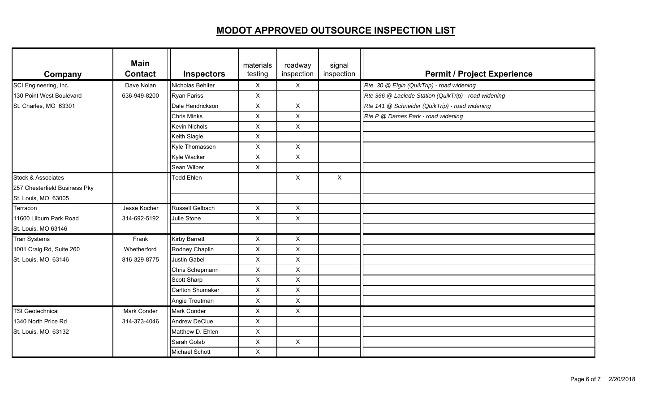| Company                       | <b>Main</b><br><b>Contact</b> | <b>Inspectors</b>       | materials<br>testing | roadway<br>inspection     | signal<br>inspection | <b>Permit / Project Experience</b>                   |
|-------------------------------|-------------------------------|-------------------------|----------------------|---------------------------|----------------------|------------------------------------------------------|
| SCI Engineering, Inc.         | Dave Nolan                    | Nicholas Behiter        | X                    | X                         |                      | Rte. 30 @ Elgin (QuikTrip) - road widening           |
| 130 Point West Boulevard      | 636-949-8200                  | <b>Ryan Fariss</b>      | X                    |                           |                      | Rte 366 @ Laclede Station (QuikTrip) - road widening |
| St. Charles, MO 63301         |                               | Dale Hendrickson        | X                    | X                         |                      | Rte 141 @ Schneider (QuikTrip) - road widening       |
|                               |                               | <b>Chris Minks</b>      | X                    | $\pmb{\times}$            |                      | Rte P @ Dames Park - road widening                   |
|                               |                               | <b>Kevin Nichols</b>    | $\pmb{\times}$       | $\pmb{\times}$            |                      |                                                      |
|                               |                               | Keith Slagle            | X                    |                           |                      |                                                      |
|                               |                               | Kyle Thomassen          | $\pmb{\times}$       | $\pmb{\times}$            |                      |                                                      |
|                               |                               | Kyle Wacker             | $\pmb{\times}$       | $\pmb{\times}$            |                      |                                                      |
|                               |                               | Sean Wilber             | $\mathsf{X}$         |                           |                      |                                                      |
| Stock & Associates            |                               | <b>Todd Ehlen</b>       |                      | $\mathsf{X}$              | $\mathsf{X}$         |                                                      |
| 257 Chesterfield Business Pky |                               |                         |                      |                           |                      |                                                      |
| St. Louis, MO 63005           |                               |                         |                      |                           |                      |                                                      |
| Terracon                      | Jesse Kocher                  | Russell Gelbach         | X                    | $\mathsf{x}$              |                      |                                                      |
| 11600 Lilburn Park Road       | 314-692-5192                  | Julie Stone             | $\pmb{\times}$       | $\pmb{\times}$            |                      |                                                      |
| St. Louis, MO 63146           |                               |                         |                      |                           |                      |                                                      |
| <b>Tran Systems</b>           | Frank                         | <b>Kirby Barrett</b>    | X                    | X                         |                      |                                                      |
| 1001 Craig Rd, Suite 260      | Whetherford                   | Rodney Chaplin          | $\pmb{\times}$       | $\pmb{\times}$            |                      |                                                      |
| St. Louis, MO 63146           | 816-329-8775                  | <b>Justin Gabel</b>     | $\pmb{\times}$       | $\pmb{\times}$            |                      |                                                      |
|                               |                               | Chris Schepmann         | $\pmb{\times}$       | X                         |                      |                                                      |
|                               |                               | <b>Scott Sharp</b>      | $\pmb{\times}$       | $\mathsf X$               |                      |                                                      |
|                               |                               | <b>Carlton Shumaker</b> | X                    | $\mathsf X$               |                      |                                                      |
|                               |                               | Angie Troutman          | X                    | $\boldsymbol{\mathsf{X}}$ |                      |                                                      |
| <b>TSI Geotechnical</b>       | <b>Mark Conder</b>            | <b>Mark Conder</b>      | X                    | $\mathsf{X}$              |                      |                                                      |
| 1340 North Price Rd           | 314-373-4046                  | <b>Andrew DeClue</b>    | X                    |                           |                      |                                                      |
| St. Louis, MO 63132           |                               | Matthew D. Ehlen        | $\pmb{\times}$       |                           |                      |                                                      |
|                               |                               | Sarah Golab             | $\pmb{\times}$       | $\mathsf X$               |                      |                                                      |
|                               |                               | Michael Schott          | $\pmb{\times}$       |                           |                      |                                                      |